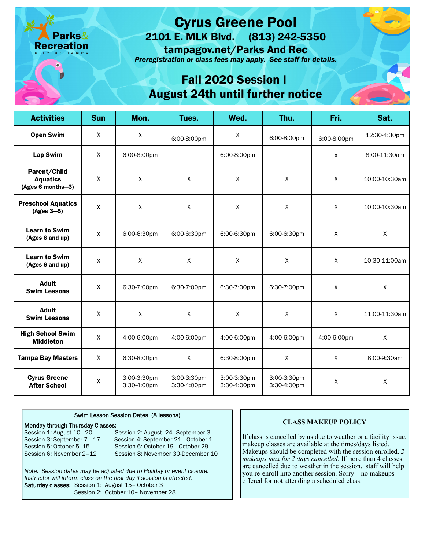# Cyrus Greene Pool

2101 E. MLK Blvd. (813) 242-5350

tampagov.net/Parks And Rec

*Preregistration or class fees may apply. See staff for details.* 

### Fall 2020 Session I August 24th until further notice

| <b>Activities</b>                                    | <b>Sun</b>   | Mon.                       | Tues.                      | Wed.                       | Thu.                       | Fri.         | Sat.          |
|------------------------------------------------------|--------------|----------------------------|----------------------------|----------------------------|----------------------------|--------------|---------------|
| <b>Open Swim</b>                                     | X            | $\sf X$                    | 6:00-8:00pm                | X                          | 6:00-8:00pm                | 6:00-8:00pm  | 12:30-4:30pm  |
| Lap Swim                                             | X            | 6:00-8:00pm                |                            | 6:00-8:00pm                |                            | X            | 8:00-11:30am  |
| Parent/Child<br><b>Aquatics</b><br>(Ages 6 months-3) | X            | $\pmb{\chi}$               | $\mathsf{X}$               | $\mathsf X$                | $\sf X$                    | X            | 10:00-10:30am |
| <b>Preschool Aquatics</b><br>$(Ages 3-5)$            | $\sf X$      | $\mathsf{X}$               | $\mathsf{X}$               | $\mathsf{X}$               | $\mathsf{X}$               | $\mathsf{X}$ | 10:00-10:30am |
| <b>Learn to Swim</b><br>(Ages 6 and up)              | X            | 6:00-6:30pm                | 6:00-6:30pm                | 6:00-6:30pm                | 6:00-6:30pm                | X            | $\mathsf{X}$  |
| <b>Learn to Swim</b><br>(Ages 6 and up)              | $\mathsf{X}$ | $\mathsf{X}$               | $\mathsf{X}$               | $\mathsf{X}$               | $\mathsf{X}$               | $\mathsf{X}$ | 10:30-11:00am |
| <b>Adult</b><br><b>Swim Lessons</b>                  | X            | 6:30-7:00pm                | 6:30-7:00pm                | 6:30-7:00pm                | 6:30-7:00pm                | X            | X             |
| <b>Adult</b><br><b>Swim Lessons</b>                  | X            | $\pmb{\chi}$               | $\mathsf X$                | $\mathsf{X}$               | $\sf X$                    | $\mathsf{X}$ | 11:00-11:30am |
| <b>High School Swim</b><br><b>Middleton</b>          | X            | 4:00-6:00pm                | 4:00-6:00pm                | 4:00-6:00pm                | 4:00-6:00pm                | 4:00-6:00pm  | $\mathsf{X}$  |
| <b>Tampa Bay Masters</b>                             | X            | 6:30-8:00pm                | $\mathsf{X}$               | 6:30-8:00pm                | $\sf X$                    | X            | 8:00-9:30am   |
| <b>Cyrus Greene</b><br><b>After School</b>           | X            | 3:00-3:30pm<br>3:30-4:00pm | 3:00-3:30pm<br>3:30-4:00pm | 3:00-3:30pm<br>3:30-4:00pm | 3:00-3:30pm<br>3:30-4:00pm | X            | $\sf X$       |

#### Swim Lesson Session Dates (8 lessons)

## **Monday through Thursday Classes:**<br>Session 1: August 10-20

Session 2: August. 24-September 3 Session 3: September 7 - 17 Session 4: September 21 - October 1 Session 5: October 5-15 Session 6: October 19 - October 29 Session 6: November 2–12 Session 8: November 30-December 10

*Note. Session dates may be adjusted due to Holiday or event closure. Instructor will inform class on the first day if session is affected.*  Saturday classes: Session 1: August 15- October 3 Session 2: October 10– November 28

### **CLASS MAKEUP POLICY**

If class is cancelled by us due to weather or a facility issue, makeup classes are available at the times/days listed. Makeups should be completed with the session enrolled. *2 makeups max for 2 days cancelled.* If more than 4 classes are cancelled due to weather in the session, staff will help you re-enroll into another session. Sorry—no makeups offered for not attending a scheduled class.